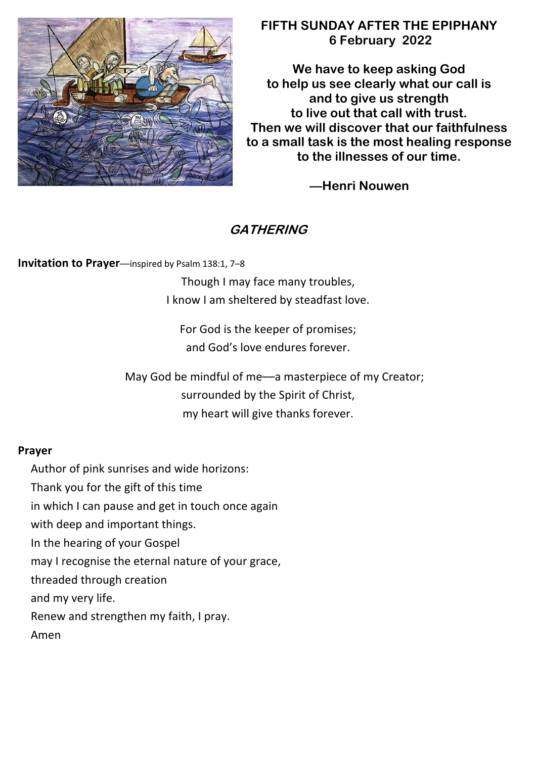

## **FIFTH SUNDAY AFTER THE EPIPHANY 6 February 2022**

**We have to keep asking God to help us see clearly what our call is and to give us strength to live out that call with trust. Then we will discover that our faithfulness to a small task is the most healing response to the illnesses of our time.**

**––Henri Nouwen**

# **GATHERING**

**Invitation to Prayer**—inspired by Psalm 138:1, 7-8

Though I may face many troubles, I know I am sheltered by steadfast love.

For God is the keeper of promises; and God's love endures forever.

May God be mindful of me––a masterpiece of my Creator; surrounded by the Spirit of Christ, my heart will give thanks forever.

## **Prayer**

Author of pink sunrises and wide horizons:

Thank you for the gift of this time

in which I can pause and get in touch once again

with deep and important things.

In the hearing of your Gospel

may I recognise the eternal nature of your grace,

threaded through creation

and my very life.

Renew and strengthen my faith, I pray.

Amen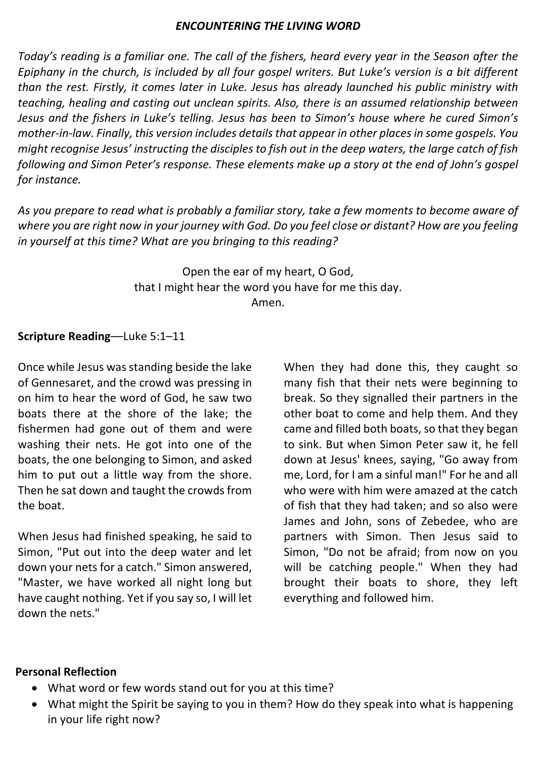#### *ENCOUNTERING THE LIVING WORD*

*Today's reading is a familiar one. The call of the fishers, heard every year in the Season after the Epiphany in the church, is included by all four gospel writers. But Luke's version is a bit different than the rest. Firstly, it comes later in Luke. Jesus has already launched his public ministry with teaching, healing and casting out unclean spirits. Also, there is an assumed relationship between Jesus and the fishers in Luke's telling. Jesus has been to Simon's house where he cured Simon's mother-in-law. Finally, this version includes details that appear in other places in some gospels. You might recognise Jesus' instructing the disciples to fish out in the deep waters, the large catch of fish following and Simon Peter's response. These elements make up a story at the end of John's gospel for instance.*

*As you prepare to read what is probably a familiar story, take a few moments to become aware of where you are right now in your journey with God. Do you feel close or distant? How are you feeling in yourself at this time? What are you bringing to this reading?*

> Open the ear of my heart, O God, that I might hear the word you have for me this day. Amen.

### **Scripture Reading**––Luke 5:1–11

Once while Jesus was standing beside the lake of Gennesaret, and the crowd was pressing in on him to hear the word of God, he saw two boats there at the shore of the lake; the fishermen had gone out of them and were washing their nets. He got into one of the boats, the one belonging to Simon, and asked him to put out a little way from the shore. Then he sat down and taught the crowds from the boat.

When Jesus had finished speaking, he said to Simon, "Put out into the deep water and let down your nets for a catch." Simon answered, "Master, we have worked all night long but have caught nothing. Yet if you say so, I will let down the nets."

When they had done this, they caught so many fish that their nets were beginning to break. So they signalled their partners in the other boat to come and help them. And they came and filled both boats, so that they began to sink. But when Simon Peter saw it, he fell down at Jesus' knees, saying, "Go away from me, Lord, for I am a sinful man!" For he and all who were with him were amazed at the catch of fish that they had taken; and so also were James and John, sons of Zebedee, who are partners with Simon. Then Jesus said to Simon, "Do not be afraid; from now on you will be catching people." When they had brought their boats to shore, they left everything and followed him.

#### **Personal Reflection**

- What word or few words stand out for you at this time?
- What might the Spirit be saying to you in them? How do they speak into what is happening in your life right now?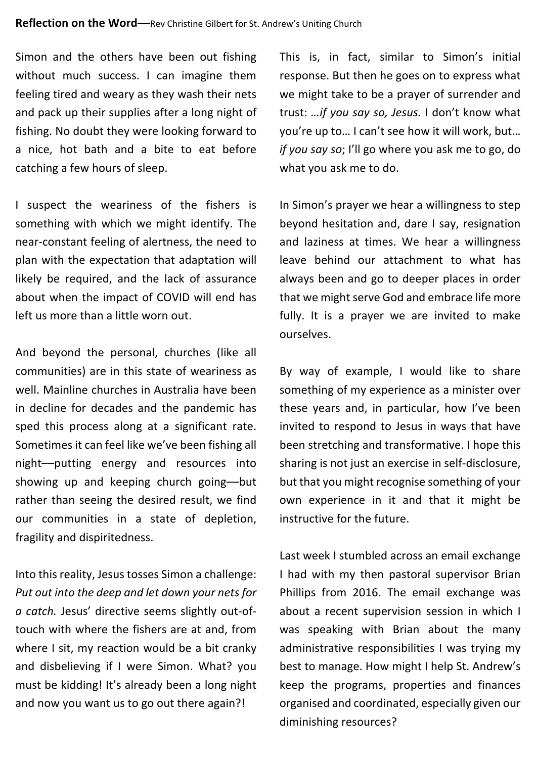Simon and the others have been out fishing without much success. I can imagine them feeling tired and weary as they wash their nets and pack up their supplies after a long night of fishing. No doubt they were looking forward to a nice, hot bath and a bite to eat before catching a few hours of sleep.

I suspect the weariness of the fishers is something with which we might identify. The near-constant feeling of alertness, the need to plan with the expectation that adaptation will likely be required, and the lack of assurance about when the impact of COVID will end has left us more than a little worn out.

And beyond the personal, churches (like all communities) are in this state of weariness as well. Mainline churches in Australia have been in decline for decades and the pandemic has sped this process along at a significant rate. Sometimes it can feel like we've been fishing all night––putting energy and resources into showing up and keeping church going––but rather than seeing the desired result, we find our communities in a state of depletion, fragility and dispiritedness.

Into this reality, Jesus tosses Simon a challenge: *Put out into the deep and let down your nets for a catch.* Jesus' directive seems slightly out-oftouch with where the fishers are at and, from where I sit, my reaction would be a bit cranky and disbelieving if I were Simon. What? you must be kidding! It's already been a long night and now you want us to go out there again?!

This is, in fact, similar to Simon's initial response. But then he goes on to express what we might take to be a prayer of surrender and trust: *…if you say so, Jesus.* I don't know what you're up to… I can't see how it will work, but… *if you say so*; I'll go where you ask me to go, do what you ask me to do.

In Simon's prayer we hear a willingness to step beyond hesitation and, dare I say, resignation and laziness at times. We hear a willingness leave behind our attachment to what has always been and go to deeper places in order that we might serve God and embrace life more fully. It is a prayer we are invited to make ourselves.

By way of example, I would like to share something of my experience as a minister over these years and, in particular, how I've been invited to respond to Jesus in ways that have been stretching and transformative. I hope this sharing is not just an exercise in self-disclosure, but that you might recognise something of your own experience in it and that it might be instructive for the future.

Last week I stumbled across an email exchange I had with my then pastoral supervisor Brian Phillips from 2016. The email exchange was about a recent supervision session in which I was speaking with Brian about the many administrative responsibilities I was trying my best to manage. How might I help St. Andrew's keep the programs, properties and finances organised and coordinated, especially given our diminishing resources?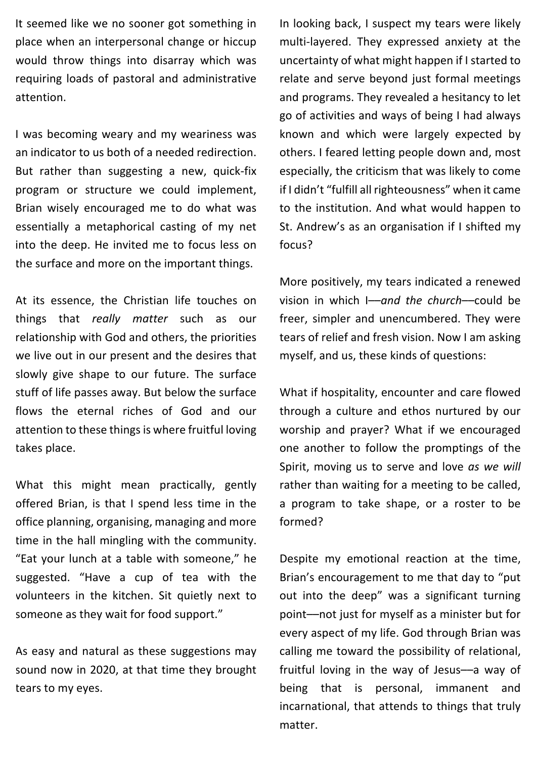It seemed like we no sooner got something in place when an interpersonal change or hiccup would throw things into disarray which was requiring loads of pastoral and administrative attention.

I was becoming weary and my weariness was an indicator to us both of a needed redirection. But rather than suggesting a new, quick-fix program or structure we could implement, Brian wisely encouraged me to do what was essentially a metaphorical casting of my net into the deep. He invited me to focus less on the surface and more on the important things.

At its essence, the Christian life touches on things that *really matter* such as our relationship with God and others, the priorities we live out in our present and the desires that slowly give shape to our future. The surface stuff of life passes away. But below the surface flows the eternal riches of God and our attention to these things is where fruitful loving takes place.

What this might mean practically, gently offered Brian, is that I spend less time in the office planning, organising, managing and more time in the hall mingling with the community. "Eat your lunch at a table with someone," he suggested. "Have a cup of tea with the volunteers in the kitchen. Sit quietly next to someone as they wait for food support."

As easy and natural as these suggestions may sound now in 2020, at that time they brought tears to my eyes.

In looking back, I suspect my tears were likely multi-layered. They expressed anxiety at the uncertainty of what might happen if I started to relate and serve beyond just formal meetings and programs. They revealed a hesitancy to let go of activities and ways of being I had always known and which were largely expected by others. I feared letting people down and, most especially, the criticism that was likely to come if I didn't "fulfill all righteousness" when it came to the institution. And what would happen to St. Andrew's as an organisation if I shifted my focus?

More positively, my tears indicated a renewed vision in which I––*and the church*––could be freer, simpler and unencumbered. They were tears of relief and fresh vision. Now I am asking myself, and us, these kinds of questions:

What if hospitality, encounter and care flowed through a culture and ethos nurtured by our worship and prayer? What if we encouraged one another to follow the promptings of the Spirit, moving us to serve and love *as we will* rather than waiting for a meeting to be called, a program to take shape, or a roster to be formed?

Despite my emotional reaction at the time, Brian's encouragement to me that day to "put out into the deep" was a significant turning point––not just for myself as a minister but for every aspect of my life. God through Brian was calling me toward the possibility of relational, fruitful loving in the way of Jesus––a way of being that is personal, immanent and incarnational, that attends to things that truly matter.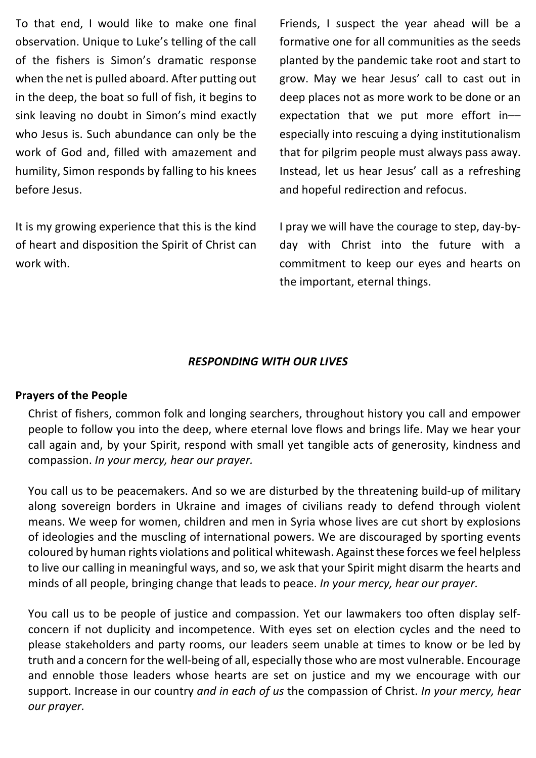To that end, I would like to make one final observation. Unique to Luke's telling of the call of the fishers is Simon's dramatic response when the net is pulled aboard. After putting out in the deep, the boat so full of fish, it begins to sink leaving no doubt in Simon's mind exactly who Jesus is. Such abundance can only be the work of God and, filled with amazement and humility, Simon responds by falling to his knees before Jesus.

It is my growing experience that this is the kind of heart and disposition the Spirit of Christ can work with.

Friends, I suspect the year ahead will be a formative one for all communities as the seeds planted by the pandemic take root and start to grow. May we hear Jesus' call to cast out in deep places not as more work to be done or an expectation that we put more effort in–– especially into rescuing a dying institutionalism that for pilgrim people must always pass away. Instead, let us hear Jesus' call as a refreshing and hopeful redirection and refocus.

I pray we will have the courage to step, day-byday with Christ into the future with a commitment to keep our eyes and hearts on the important, eternal things.

#### *RESPONDING WITH OUR LIVES*

#### **Prayers of the People**

Christ of fishers, common folk and longing searchers, throughout history you call and empower people to follow you into the deep, where eternal love flows and brings life. May we hear your call again and, by your Spirit, respond with small yet tangible acts of generosity, kindness and compassion. *In your mercy, hear our prayer.*

You call us to be peacemakers. And so we are disturbed by the threatening build-up of military along sovereign borders in Ukraine and images of civilians ready to defend through violent means. We weep for women, children and men in Syria whose lives are cut short by explosions of ideologies and the muscling of international powers. We are discouraged by sporting events coloured by human rights violations and political whitewash. Against these forces we feel helpless to live our calling in meaningful ways, and so, we ask that your Spirit might disarm the hearts and minds of all people, bringing change that leads to peace. *In your mercy, hear our prayer.*

You call us to be people of justice and compassion. Yet our lawmakers too often display selfconcern if not duplicity and incompetence. With eyes set on election cycles and the need to please stakeholders and party rooms, our leaders seem unable at times to know or be led by truth and a concern for the well-being of all, especially those who are most vulnerable. Encourage and ennoble those leaders whose hearts are set on justice and my we encourage with our support. Increase in our country *and in each of us* the compassion of Christ. *In your mercy, hear our prayer.*